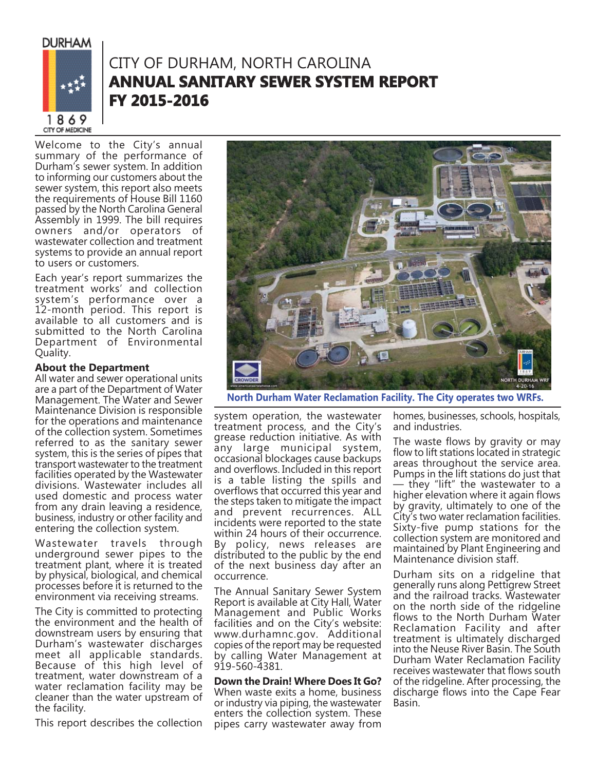**DURHAM** 



## CITY OF DURHAM, NORTH CAROLINA **ANNUAL SANITARY SEWER SYSTEM REPORT FY 2015-2016 Y**

Welcome to the City's annual summary of the performance of Durham's sewer system. In addition to informing our customers about the sewer system, this report also meets the requirements of House Bill 1160 passed by the North Carolina General Assembly in 1999. The bill requires owners and/or operators of wastewater collection and treatment systems to provide an annual report to users or customers.

Each year's report summarizes the treatment works' and collection system's performance over a 12-month period. This report is available to all customers and is submitted to the North Carolina Department of Environmental Quality.

## **About the Department**

All water and sewer operational units are a part of the Department of Water Management. The Water and Sewer Maintenance Division is responsible for the operations and maintenance of the collection system. Sometimes referred to as the sanitary sewer system, this is the series of pipes that transport wastewater to the treatment facilities operated by the Wastewater divisions. Wastewater includes all used domestic and process water from any drain leaving a residence, business, industry or other facility and entering the collection system.

Wastewater travels through underground sewer pipes to the treatment plant, where it is treated by physical, biological, and chemical processes before it is returned to the environment via receiving streams.

The City is committed to protecting the environment and the health of downstream users by ensuring that Durham's wastewater discharges meet all applicable standards. Because of this high level of treatment, water downstream of a water reclamation facility may be cleaner than the water upstream of the facility.

This report describes the collection



 **North Durham Water Reclamation Facility. The City operates two WRFs.**

system operation, the wastewater treatment process, and the City's grease reduction initiative. As with any large municipal system, occasional blockages cause backups and overflows. Included in this report is a table listing the spills and overflows that occurred this year and the steps taken to mitigate the impact and prevent recurrences. ALL incidents were reported to the state within 24 hours of their occurrence. By policy, news releases are distributed to the public by the end of the next business day after an occurrence.

The Annual Sanitary Sewer System Report is available at City Hall, Water Management and Public Works facilities and on the City's website: www.durhamnc.gov. Additional copies of the report may be requested by calling Water Management at 919-560-4381.

## **Down the Drain! Where Does It Go?**

When waste exits a home, business or industry via piping, the wastewater enters the collection system. These pipes carry wastewater away from homes, businesses, schools, hospitals, and industries.

The waste flows by gravity or may flow to lift stations located in strategic areas throughout the service area. Pumps in the lift stations do just that — they "lift" the wastewater to a higher elevation where it again flows by gravity, ultimately to one of the City's two water reclamation facilities. Sixty-five pump stations for the collection system are monitored and maintained by Plant Engineering and Maintenance division staff.

Durham sits on a ridgeline that generally runs along Pettigrew Street and the railroad tracks. Wastewater on the north side of the ridgeline flows to the North Durham Water Reclamation Facility and after treatment is ultimately discharged into the Neuse River Basin. The South Durham Water Reclamation Facility receives wastewater that flows south of the ridgeline. After processing, the discharge flows into the Cape Fear Basin.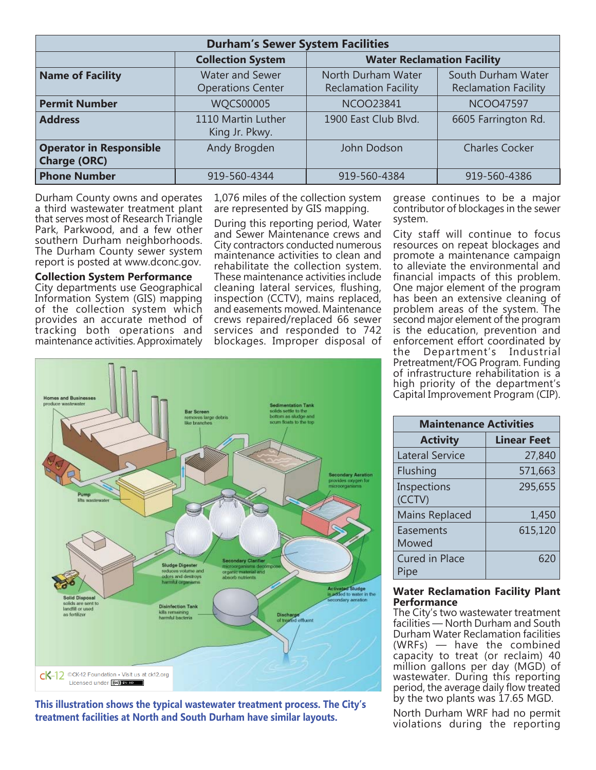| <b>Durham's Sewer System Facilities</b>               |                                                    |                                                   |                                                   |  |  |  |
|-------------------------------------------------------|----------------------------------------------------|---------------------------------------------------|---------------------------------------------------|--|--|--|
|                                                       | <b>Collection System</b>                           | <b>Water Reclamation Facility</b>                 |                                                   |  |  |  |
| <b>Name of Facility</b>                               | <b>Water and Sewer</b><br><b>Operations Center</b> | North Durham Water<br><b>Reclamation Facility</b> | South Durham Water<br><b>Reclamation Facility</b> |  |  |  |
| <b>Permit Number</b>                                  | <b>WQCS00005</b>                                   | <b>NCOO23841</b>                                  | <b>NCOO47597</b>                                  |  |  |  |
| <b>Address</b>                                        | 1110 Martin Luther<br>King Jr. Pkwy.               | 1900 East Club Blvd.                              | 6605 Farrington Rd.                               |  |  |  |
| <b>Operator in Responsible</b><br><b>Charge (ORC)</b> | Andy Brogden                                       | John Dodson                                       | <b>Charles Cocker</b>                             |  |  |  |
| <b>Phone Number</b>                                   | 919-560-4344                                       | 919-560-4384                                      | 919-560-4386                                      |  |  |  |

Durham County owns and operates a third wastewater treatment plant that serves most of Research Triangle Park, Parkwood, and a few other southern Durham neighborhoods. The Durham County sewer system report is posted at www.dconc.gov.

**Collection System Performance** City departments use Geographical Information System (GIS) mapping of the collection system which provides an accurate method of tracking both operations and maintenance activities. Approximately

1,076 miles of the collection system are represented by GIS mapping.

During this reporting period, Water and Sewer Maintenance crews and City contractors conducted numerous maintenance activities to clean and rehabilitate the collection system. These maintenance activities include cleaning lateral services, flushing, inspection (CCTV), mains replaced, and easements mowed. Maintenance crews repaired/replaced 66 sewer services and responded to 742 blockages. Improper disposal of

grease continues to be a major contributor of blockages in the sewer system.

City staff will continue to focus resources on repeat blockages and promote a maintenance campaign to alleviate the environmental and financial impacts of this problem. One major element of the program has been an extensive cleaning of problem areas of the system. The second major element of the program is the education, prevention and enforcement effort coordinated by the Department's Industrial Pretreatment/FOG Program. Funding of infrastructure rehabilitation is a high priority of the department's Capital Improvement Program (CIP).



**This illustration shows the typical wastewater treatment process. The City's treatment facilities at North and South Durham have similar layouts.**

| <b>Maintenance Activities</b> |                    |  |  |  |  |
|-------------------------------|--------------------|--|--|--|--|
| <b>Activity</b>               | <b>Linear Feet</b> |  |  |  |  |
| <b>Lateral Service</b>        | 27,840             |  |  |  |  |
| Flushing                      | 571,663            |  |  |  |  |
| Inspections<br>(CCTV)         | 295,655            |  |  |  |  |
| <b>Mains Replaced</b>         | 1,450              |  |  |  |  |
| Easements<br>Mowed            | 615,120            |  |  |  |  |
| <b>Cured in Place</b><br>Pipe | 620                |  |  |  |  |

### **Water Reclamation Facility Plant Performance**

The City's two wastewater treatment facilities — North Durham and South Durham Water Reclamation facilities (WRFs) — have the combined capacity to treat (or reclaim) 40 million gallons per day (MGD) of wastewater. During this reporting period, the average daily flow treated by the two plants was 17.65 MGD.

North Durham WRF had no permit violations during the reporting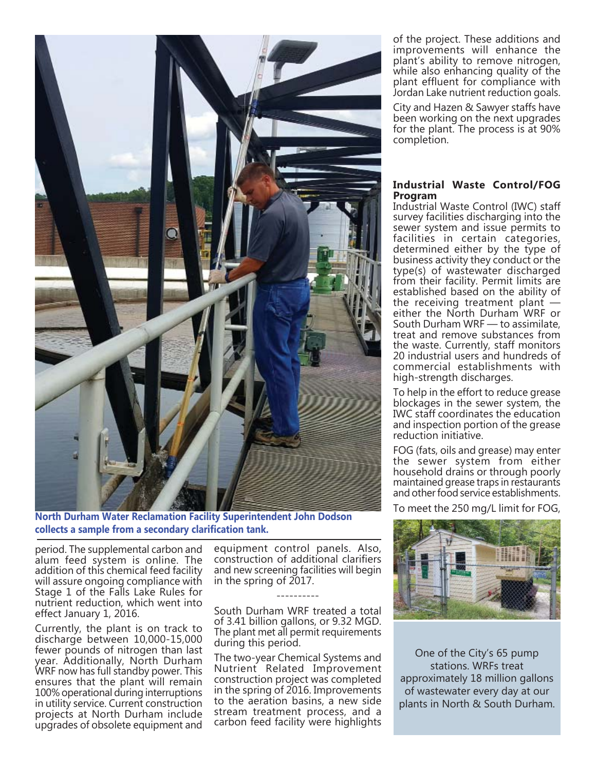

**North Durham Water Reclamation Facility Superintendent John Dodson collects a sample from a secondary clarifi cation tank.**

period. The supplemental carbon and alum feed system is online. The addition of this chemical feed facility will assure ongoing compliance with Stage 1 of the Falls Lake Rules for nutrient reduction, which went into effect January 1, 2016.

Currently, the plant is on track to discharge between 10,000-15,000 fewer pounds of nitrogen than last year. Additionally, North Durham WRF now has full standby power. This ensures that the plant will remain 100% operational during interruptions in utility service. Current construction projects at North Durham include upgrades of obsolete equipment and equipment control panels. Also, construction of additional clarifiers and new screening facilities will begin in the spring of 2017.

----------

South Durham WRF treated a total of 3.41 billion gallons, or 9.32 MGD. The plant met all permit requirements during this period.

The two-year Chemical Systems and Nutrient Related Improvement construction project was completed in the spring of 2016. Improvements to the aeration basins, a new side stream treatment process, and a carbon feed facility were highlights

of the project. These additions and improvements will enhance the plant's ability to remove nitrogen, while also enhancing quality of the plant effluent for compliance with Jordan Lake nutrient reduction goals.

City and Hazen & Sawyer staffs have been working on the next upgrades for the plant. The process is at 90% completion.

## **Industrial Waste Control/FOG Program**

Industrial Waste Control (IWC) staff survey facilities discharging into the sewer system and issue permits to facilities in certain categories, determined either by the type of business activity they conduct or the type(s) of wastewater discharged from their facility. Permit limits are established based on the ability of the receiving treatment plant  $$ either the North Durham WRF or South Durham WRF — to assimilate, treat and remove substances from the waste. Currently, staff monitors 20 industrial users and hundreds of commercial establishments with high-strength discharges.

To help in the effort to reduce grease blockages in the sewer system, the IWC staff coordinates the education and inspection portion of the grease reduction initiative.

FOG (fats, oils and grease) may enter the sewer system from either household drains or through poorly maintained grease traps in restaurants and other food service establishments.

To meet the 250 mg/L limit for FOG,



One of the City's 65 pump stations. WRFs treat approximately 18 million gallons of wastewater every day at our plants in North & South Durham.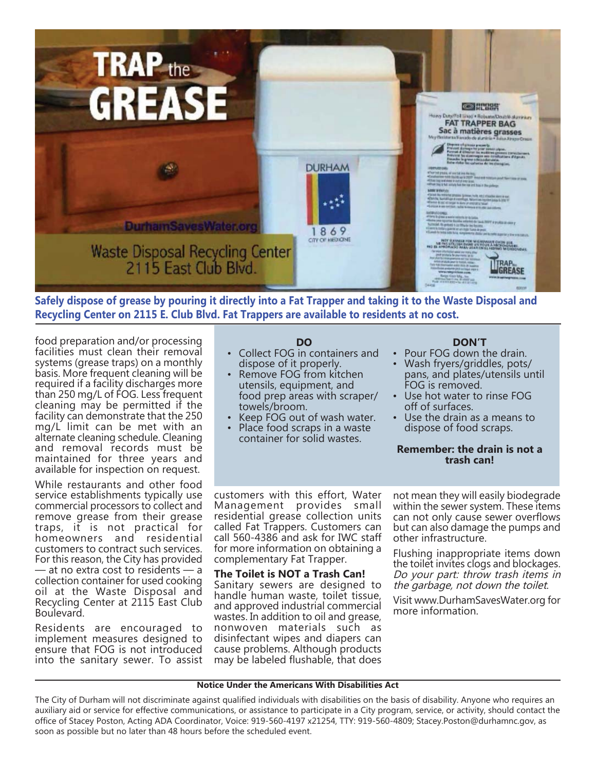

**Safely dispose of grease by pouring it directly into a Fat Trapper and taking it to the Waste Disposal and Recycling Center on 2115 E. Club Blvd. Fat Trappers are available to residents at no cost.**

food preparation and/or processing facilities must clean their removal systems (grease traps) on a monthly basis. More frequent cleaning will be required if a facility discharges more than 250 mg/L of FOG. Less frequent cleaning may be permitted if the facility can demonstrate that the 250 mg/L limit can be met with an alternate cleaning schedule. Cleaning and removal records must be maintained for three years and available for inspection on request.

While restaurants and other food service establishments typically use commercial processors to collect and remove grease from their grease traps, it is not practical for homeowners and residential customers to contract such services. For this reason, the City has provided — at no extra cost to residents — a collection container for used cooking oil at the Waste Disposal and Recycling Center at 2115 East Club Boulevard.

Residents are encouraged to implement measures designed to ensure that FOG is not introduced into the sanitary sewer. To assist

## **DO**

- Collect FOG in containers and dispose of it properly.
- Remove FOG from kitchen utensils, equipment, and food prep areas with scraper/ towels/broom.
- Keep FOG out of wash water.
- Place food scraps in a waste container for solid wastes.

## **DON'T**

- Pour FOG down the drain.
- Wash fryers/griddles, pots/ pans, and plates/utensils until FOG is removed.
- Use hot water to rinse FOG off of surfaces.
- Use the drain as a means to dispose of food scraps.

### **Remember: the drain is not a trash can!**

customers with this effort, Water Management provides small residential grease collection units called Fat Trappers. Customers can call 560-4386 and ask for IWC staff for more information on obtaining a complementary Fat Trapper.

**The Toilet is NOT a Trash Can!** Sanitary sewers are designed to handle human waste, toilet tissue, and approved industrial commercial wastes. In addition to oil and grease, nonwoven materials such as disinfectant wipes and diapers can cause problems. Although products may be labeled flushable, that does

not mean they will easily biodegrade within the sewer system. These items can not only cause sewer overflows but can also damage the pumps and other infrastructure.

Flushing inappropriate items down the toilet invites clogs and blockages. Do your part: throw trash items in the garbage, not down the toilet.

Visit www.DurhamSavesWater.org for more information.

#### **Notice Under the Americans With Disabilities Act**

The City of Durham will not discriminate against qualified individuals with disabilities on the basis of disability. Anyone who requires an auxiliary aid or service for effective communications, or assistance to participate in a City program, service, or activity, should contact the office of Stacey Poston, Acting ADA Coordinator, Voice: 919-560-4197 x21254, TTY: 919-560-4809; Stacey.Poston@durhamnc.gov, as soon as possible but no later than 48 hours before the scheduled event.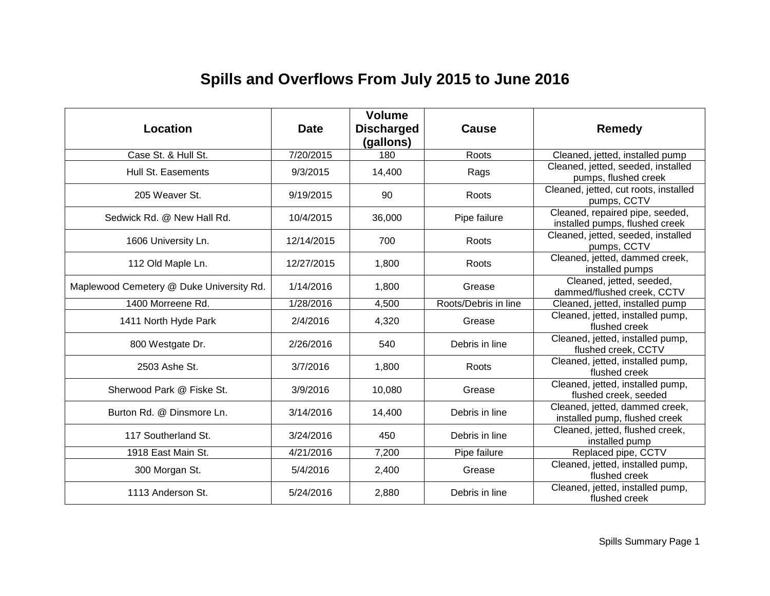# **Spills and Overflows From July 2015 to June 2016**

| Location                                 | <b>Date</b> | <b>Volume</b><br><b>Discharged</b><br>(gallons) | Cause                | Remedy                                                            |
|------------------------------------------|-------------|-------------------------------------------------|----------------------|-------------------------------------------------------------------|
| Case St. & Hull St.                      | 7/20/2015   | 180                                             | Roots                | Cleaned, jetted, installed pump                                   |
| Hull St. Easements                       | 9/3/2015    | 14,400                                          | Rags                 | Cleaned, jetted, seeded, installed<br>pumps, flushed creek        |
| 205 Weaver St.                           | 9/19/2015   | 90                                              | Roots                | Cleaned, jetted, cut roots, installed<br>pumps, CCTV              |
| Sedwick Rd. @ New Hall Rd.               | 10/4/2015   | 36,000                                          | Pipe failure         | Cleaned, repaired pipe, seeded,<br>installed pumps, flushed creek |
| 1606 University Ln.                      | 12/14/2015  | 700                                             | Roots                | Cleaned, jetted, seeded, installed<br>pumps, CCTV                 |
| 112 Old Maple Ln.                        | 12/27/2015  | 1,800                                           | Roots                | Cleaned, jetted, dammed creek,<br>installed pumps                 |
| Maplewood Cemetery @ Duke University Rd. | 1/14/2016   | 1,800                                           | Grease               | Cleaned, jetted, seeded,<br>dammed/flushed creek, CCTV            |
| 1400 Morreene Rd.                        | 1/28/2016   | 4,500                                           | Roots/Debris in line | Cleaned, jetted, installed pump                                   |
| 1411 North Hyde Park                     | 2/4/2016    | 4,320                                           | Grease               | Cleaned, jetted, installed pump,<br>flushed creek                 |
| 800 Westgate Dr.                         | 2/26/2016   | 540                                             | Debris in line       | Cleaned, jetted, installed pump,<br>flushed creek, CCTV           |
| 2503 Ashe St.                            | 3/7/2016    | 1,800                                           | Roots                | Cleaned, jetted, installed pump,<br>flushed creek                 |
| Sherwood Park @ Fiske St.                | 3/9/2016    | 10,080                                          | Grease               | Cleaned, jetted, installed pump,<br>flushed creek, seeded         |
| Burton Rd. @ Dinsmore Ln.                | 3/14/2016   | 14,400                                          | Debris in line       | Cleaned, jetted, dammed creek,<br>installed pump, flushed creek   |
| 117 Southerland St.                      | 3/24/2016   | 450                                             | Debris in line       | Cleaned, jetted, flushed creek,<br>installed pump                 |
| 1918 East Main St.                       | 4/21/2016   | 7,200                                           | Pipe failure         | Replaced pipe, CCTV                                               |
| 300 Morgan St.                           | 5/4/2016    | 2,400                                           | Grease               | Cleaned, jetted, installed pump,<br>flushed creek                 |
| 1113 Anderson St.                        | 5/24/2016   | 2,880                                           | Debris in line       | Cleaned, jetted, installed pump,<br>flushed creek                 |